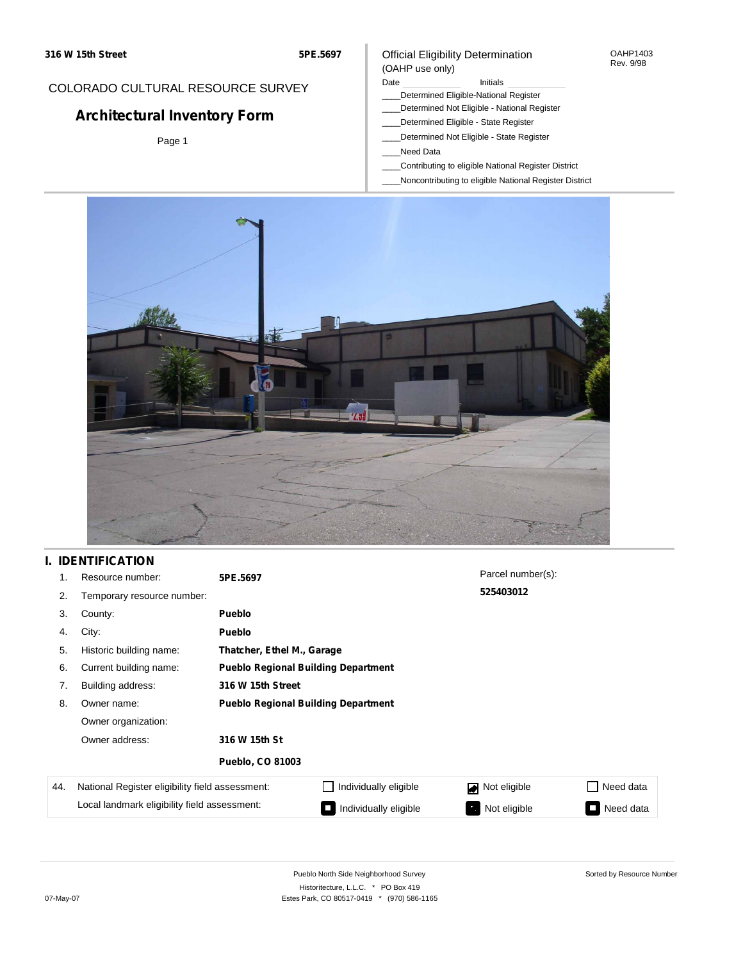## COLORADO CULTURAL RESOURCE SURVEY

# **Architectural Inventory Form**

Page 1

### Official Eligibility Determination (OAHP use only)

#### Date **Initials** Initials

- \_\_\_\_Determined Eligible-National Register
- \_\_\_\_Determined Not Eligible National Register
- \_\_\_\_Determined Eligible State Register
- \_\_\_\_Determined Not Eligible State Register
- \_\_\_\_Need Data
- \_\_\_\_Contributing to eligible National Register District
- \_\_\_\_Noncontributing to eligible National Register District



## **I. IDENTIFICATION**

| 1.  | Resource number:                                | 5PE.5697                                   |                                            | Parcel number(s): |                                       |  |  |  |
|-----|-------------------------------------------------|--------------------------------------------|--------------------------------------------|-------------------|---------------------------------------|--|--|--|
| 2.  | Temporary resource number:                      |                                            |                                            | 525403012         |                                       |  |  |  |
| 3.  | County:                                         | <b>Pueblo</b>                              |                                            |                   |                                       |  |  |  |
| 4.  | City:                                           | <b>Pueblo</b>                              |                                            |                   |                                       |  |  |  |
| 5.  | Historic building name:                         |                                            | Thatcher, Ethel M., Garage                 |                   |                                       |  |  |  |
| 6.  | Current building name:                          |                                            | <b>Pueblo Regional Building Department</b> |                   |                                       |  |  |  |
| 7.  | Building address:                               | 316 W 15th Street                          |                                            |                   |                                       |  |  |  |
| 8.  | Owner name:                                     | <b>Pueblo Regional Building Department</b> |                                            |                   |                                       |  |  |  |
|     | Owner organization:                             |                                            |                                            |                   |                                       |  |  |  |
|     | Owner address:                                  | 316 W 15th St                              |                                            |                   |                                       |  |  |  |
|     |                                                 | <b>Pueblo, CO 81003</b>                    |                                            |                   |                                       |  |  |  |
| 44. | National Register eligibility field assessment: |                                            | Individually eligible                      | Not eligible      | Need data<br>$\overline{\phantom{a}}$ |  |  |  |
|     | Local landmark eligibility field assessment:    |                                            | Individually eligible                      | Not eligible<br>ъ | Need data<br><b>September</b>         |  |  |  |

OAHP1403 Rev. 9/98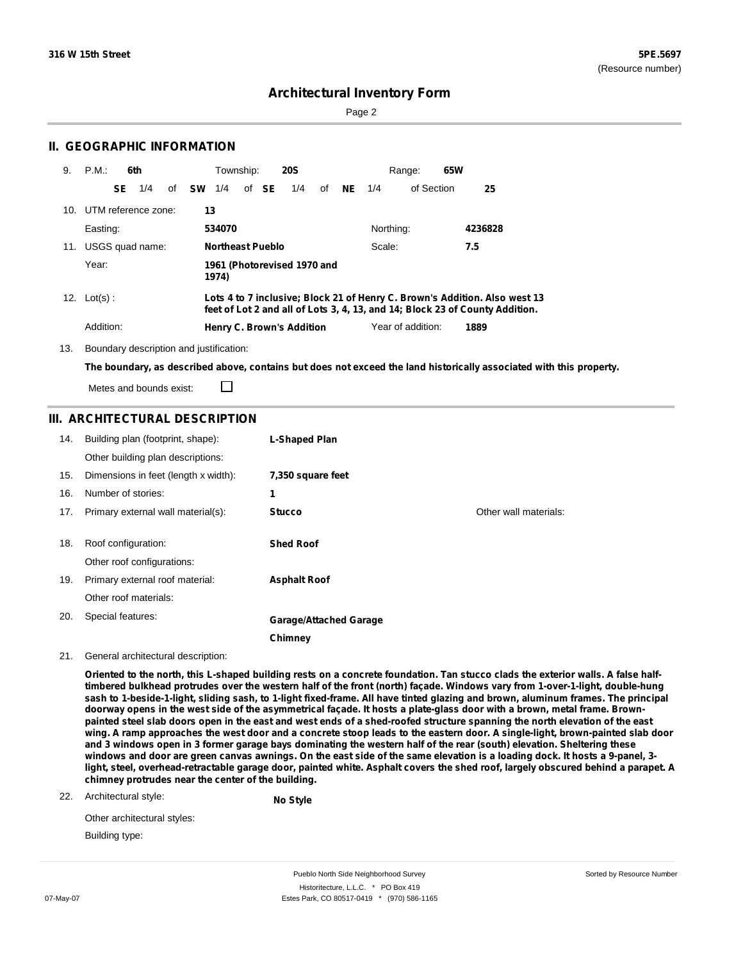Sorted by Resource Number

## **Architectural Inventory Form**

Page 2

## **II. GEOGRAPHIC INFORMATION**

| 9. | P.M.                    |    | 6th |              | Township:               |       | <b>20S</b>                       |       |           | Range:            | 65W |                                                                                                                                                            |  |
|----|-------------------------|----|-----|--------------|-------------------------|-------|----------------------------------|-------|-----------|-------------------|-----|------------------------------------------------------------------------------------------------------------------------------------------------------------|--|
|    |                         | SE | 1/4 | of <b>SW</b> | 1/4                     | of SE | 1/4                              | of NE | 1/4       | of Section        |     | 25                                                                                                                                                         |  |
|    | 10. UTM reference zone: |    |     | 13           |                         |       |                                  |       |           |                   |     |                                                                                                                                                            |  |
|    | Easting:                |    |     |              | 534070                  |       |                                  |       | Northing: |                   |     | 4236828                                                                                                                                                    |  |
|    | 11. USGS quad name:     |    |     |              | <b>Northeast Pueblo</b> |       |                                  |       | Scale:    |                   |     | 7.5                                                                                                                                                        |  |
|    | Year:                   |    |     |              | 1974)                   |       | 1961 (Photorevised 1970 and      |       |           |                   |     |                                                                                                                                                            |  |
|    | 12. $Lot(s)$ :          |    |     |              |                         |       |                                  |       |           |                   |     | Lots 4 to 7 inclusive; Block 21 of Henry C. Brown's Addition. Also west 13<br>feet of Lot 2 and all of Lots 3, 4, 13, and 14; Block 23 of County Addition. |  |
|    | Addition:               |    |     |              |                         |       | <b>Henry C. Brown's Addition</b> |       |           | Year of addition: |     | 1889                                                                                                                                                       |  |

13. Boundary description and justification:

□

The boundary, as described above, contains but does not exceed the land historically associated with this property.

Metes and bounds exist:

## **III. ARCHITECTURAL DESCRIPTION**

| 14. | Building plan (footprint, shape):<br>Other building plan descriptions: | L-Shaped Plan                 |                       |
|-----|------------------------------------------------------------------------|-------------------------------|-----------------------|
| 15. | Dimensions in feet (length x width):                                   | 7,350 square feet             |                       |
| 16. | Number of stories:                                                     | 1                             |                       |
| 17. | Primary external wall material(s):                                     | <b>Stucco</b>                 | Other wall materials: |
|     |                                                                        |                               |                       |
| 18. | Roof configuration:                                                    | <b>Shed Roof</b>              |                       |
|     | Other roof configurations:                                             |                               |                       |
| 19. | Primary external roof material:                                        | <b>Asphalt Roof</b>           |                       |
|     | Other roof materials:                                                  |                               |                       |
| 20. | Special features:                                                      | <b>Garage/Attached Garage</b> |                       |
|     |                                                                        | Chimney                       |                       |

21. General architectural description:

Oriented to the north, this L-shaped building rests on a concrete foundation. Tan stucco clads the exterior walls. A false halftimbered bulkhead protrudes over the western half of the front (north) façade. Windows vary from 1-over-1-light, double-hung sash to 1-beside-1-light, sliding sash, to 1-light fixed-frame. All have tinted glazing and brown, aluminum frames. The principal doorway opens in the west side of the asymmetrical façade. It hosts a plate-glass door with a brown, metal frame. Brownpainted steel slab doors open in the east and west ends of a shed-roofed structure spanning the north elevation of the east wing. A ramp approaches the west door and a concrete stoop leads to the eastern door. A single-light, brown-painted slab door and 3 windows open in 3 former garage bays dominating the western half of the rear (south) elevation. Sheltering these windows and door are green canvas awnings. On the east side of the same elevation is a loading dock. It hosts a 9-panel, 3light, steel, overhead-retractable garage door, painted white. Asphalt covers the shed roof, largely obscured behind a parapet. A **chimney protrudes near the center of the building.**

22. Architectural style:

**No Style**

| Other architectural styles: |  |
|-----------------------------|--|
| Building type:              |  |

Pueblo North Side Neighborhood Survey Historitecture, L.L.C. \* PO Box 419 07-May-07 **Estes Park, CO 80517-0419** \* (970) 586-1165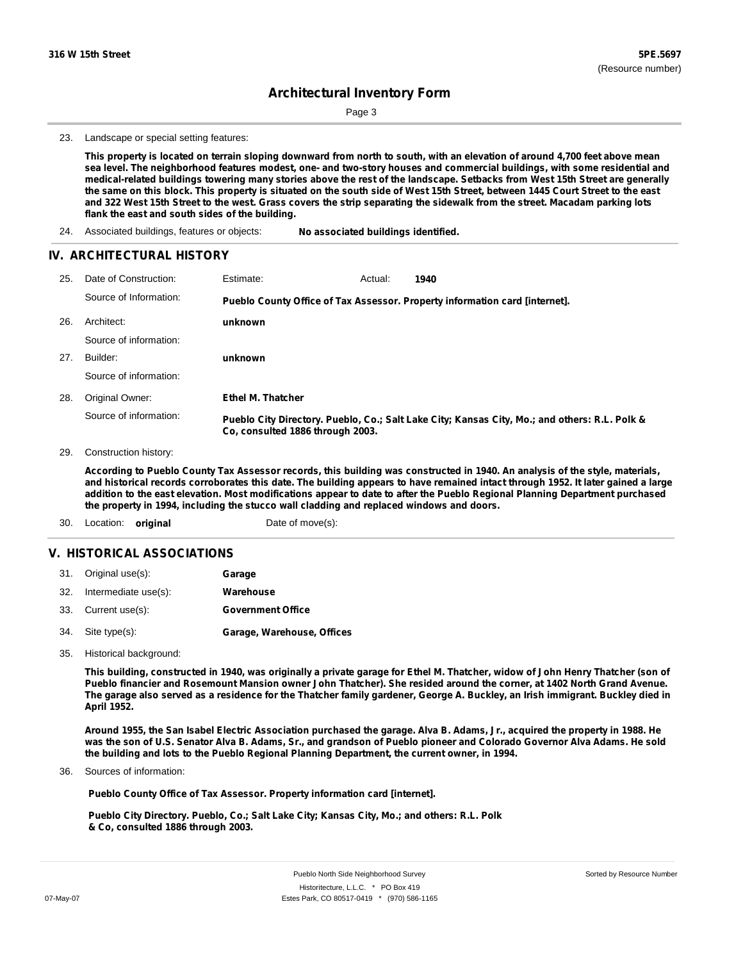Page 3

23. Landscape or special setting features:

This property is located on terrain sloping downward from north to south, with an elevation of around 4,700 feet above mean sea level. The neighborhood features modest, one- and two-story houses and commercial buildings, with some residential and medical-related buildings towering many stories above the rest of the landscape. Setbacks from West 15th Street are generally the same on this block. This property is situated on the south side of West 15th Street, between 1445 Court Street to the east and 322 West 15th Street to the west. Grass covers the strip separating the sidewalk from the street. Macadam parking lots **flank the east and south sides of the building.**

24. Associated buildings, features or objects: **No associated buildings identified.**

#### **IV. ARCHITECTURAL HISTORY**

| 25. | Date of Construction:  | Estimate:                        | Actual: | 1940                                                                                          |
|-----|------------------------|----------------------------------|---------|-----------------------------------------------------------------------------------------------|
|     | Source of Information: |                                  |         | Pueblo County Office of Tax Assessor. Property information card [internet].                   |
| 26. | Architect:             | unknown                          |         |                                                                                               |
|     | Source of information: |                                  |         |                                                                                               |
| 27. | Builder:               | unknown                          |         |                                                                                               |
|     | Source of information: |                                  |         |                                                                                               |
| 28. | Original Owner:        | <b>Ethel M. Thatcher</b>         |         |                                                                                               |
|     | Source of information: | Co. consulted 1886 through 2003. |         | Pueblo City Directory. Pueblo, Co.; Salt Lake City; Kansas City, Mo.; and others: R.L. Polk & |

29. Construction history:

According to Pueblo County Tax Assessor records, this building was constructed in 1940. An analysis of the style, materials, and historical records corroborates this date. The building appears to have remained intact through 1952. It later gained a large addition to the east elevation. Most modifications appear to date to after the Pueblo Regional Planning Department purchased **the property in 1994, including the stucco wall cladding and replaced windows and doors.**

30. Location: **original** Date of move(s):

## **V. HISTORICAL ASSOCIATIONS**

| 31. Original use(s):     | Garage                     |
|--------------------------|----------------------------|
| 32. Intermediate use(s): | Warehouse                  |
| 33. Current use(s):      | <b>Government Office</b>   |
| 34. Site type(s):        | Garage, Warehouse, Offices |

35. Historical background:

This building, constructed in 1940, was originally a private garage for Ethel M. Thatcher, widow of John Henry Thatcher (son of Pueblo financier and Rosemount Mansion owner John Thatcher). She resided around the corner, at 1402 North Grand Avenue. The garage also served as a residence for the Thatcher family gardener, George A. Buckley, an Irish immigrant. Buckley died in **April 1952.**

Around 1955, the San Isabel Electric Association purchased the garage. Alva B. Adams, Jr., acquired the property in 1988. He was the son of U.S. Senator Alva B. Adams, Sr., and grandson of Pueblo pioneer and Colorado Governor Alva Adams. He sold **the building and lots to the Pueblo Regional Planning Department, the current owner, in 1994.**

Sources of information: 36.

**Pueblo County Office of Tax Assessor. Property information card [internet].**

**Pueblo City Directory. Pueblo, Co.; Salt Lake City; Kansas City, Mo.; and others: R.L. Polk & Co, consulted 1886 through 2003.**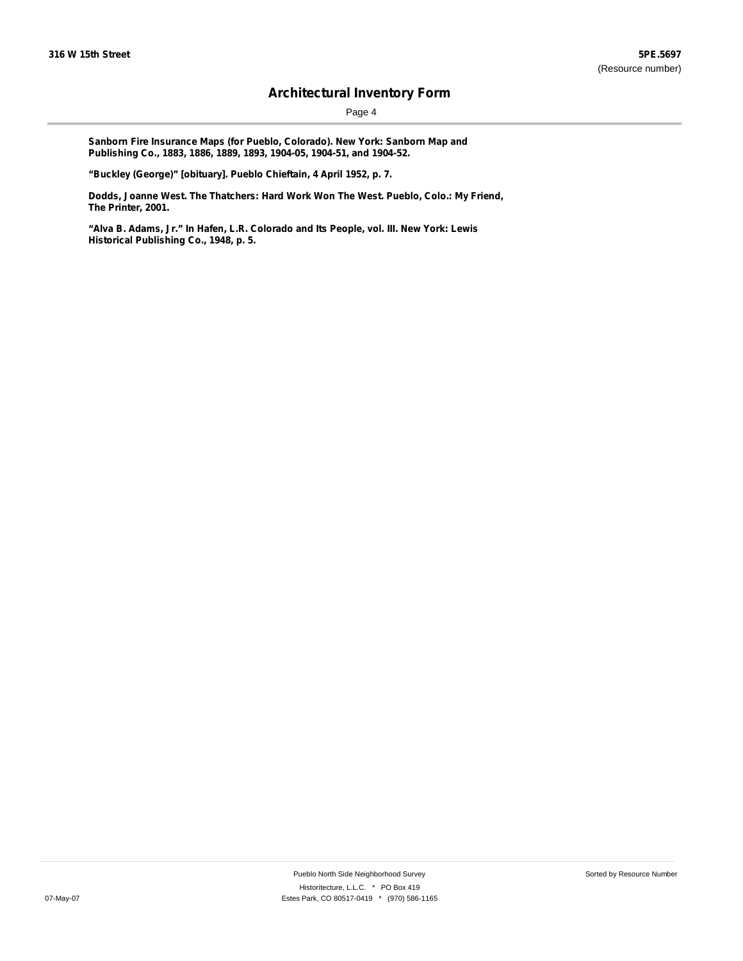Page 4

**Sanborn Fire Insurance Maps (for Pueblo, Colorado). New York: Sanborn Map and Publishing Co., 1883, 1886, 1889, 1893, 1904-05, 1904-51, and 1904-52.**

**"Buckley (George)" [obituary]. Pueblo Chieftain, 4 April 1952, p. 7.**

**Dodds, Joanne West. The Thatchers: Hard Work Won The West. Pueblo, Colo.: My Friend, The Printer, 2001.**

**"Alva B. Adams, Jr." In Hafen, L.R. Colorado and Its People, vol. III. New York: Lewis Historical Publishing Co., 1948, p. 5.**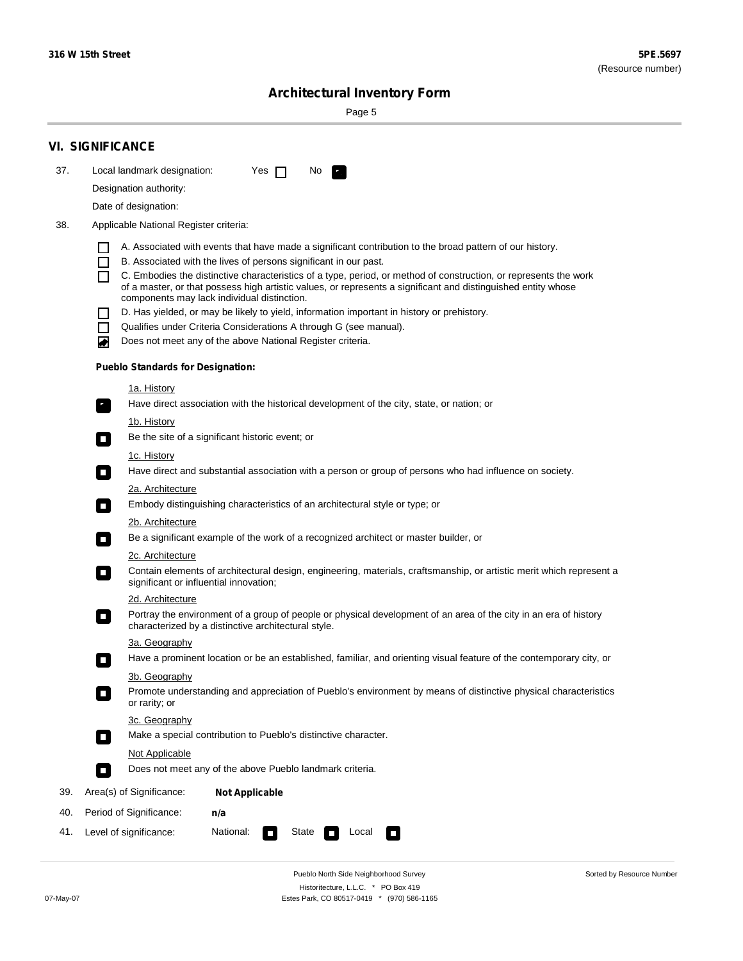Sorted by Resource Number

# **Architectural Inventory Form**

Page 5

|     | <b>VI. SIGNIFICANCE</b>                                                                                                                                                           |
|-----|-----------------------------------------------------------------------------------------------------------------------------------------------------------------------------------|
| 37. | Local landmark designation:<br>Yes $\Box$<br>No.<br>$\mathbf{F}_{\mathbf{r}}$                                                                                                     |
|     | Designation authority:                                                                                                                                                            |
|     | Date of designation:                                                                                                                                                              |
| 38. | Applicable National Register criteria:                                                                                                                                            |
|     | A. Associated with events that have made a significant contribution to the broad pattern of our history.                                                                          |
|     | B. Associated with the lives of persons significant in our past.<br>$\blacksquare$                                                                                                |
|     | C. Embodies the distinctive characteristics of a type, period, or method of construction, or represents the work<br>П                                                             |
|     | of a master, or that possess high artistic values, or represents a significant and distinguished entity whose<br>components may lack individual distinction.                      |
|     | D. Has yielded, or may be likely to yield, information important in history or prehistory.                                                                                        |
|     | Qualifies under Criteria Considerations A through G (see manual).<br>$\sim$                                                                                                       |
|     | Does not meet any of the above National Register criteria.<br>₩                                                                                                                   |
|     | <b>Pueblo Standards for Designation:</b>                                                                                                                                          |
|     | 1a. History                                                                                                                                                                       |
|     | $\overline{\mathbf{r}}_1$<br>Have direct association with the historical development of the city, state, or nation; or                                                            |
|     | <u>1b. History</u>                                                                                                                                                                |
|     | Be the site of a significant historic event; or<br>$\mathcal{L}_{\mathcal{A}}$                                                                                                    |
|     | 1c. History                                                                                                                                                                       |
|     | Have direct and substantial association with a person or group of persons who had influence on society.<br>$\overline{\phantom{a}}$                                               |
|     | 2a. Architecture<br>Embody distinguishing characteristics of an architectural style or type; or                                                                                   |
|     | $\Box$                                                                                                                                                                            |
|     | 2b. Architecture<br>Be a significant example of the work of a recognized architect or master builder, or<br>$\Box$                                                                |
|     | 2c. Architecture                                                                                                                                                                  |
|     | Contain elements of architectural design, engineering, materials, craftsmanship, or artistic merit which represent a<br>$\Box$<br>significant or influential innovation;          |
|     | 2d. Architecture                                                                                                                                                                  |
|     | Portray the environment of a group of people or physical development of an area of the city in an era of history<br>$\Box$<br>characterized by a distinctive architectural style. |
|     | 3a. Geography                                                                                                                                                                     |
|     | Have a prominent location or be an established, familiar, and orienting visual feature of the contemporary city, or                                                               |
|     | 3b. Geography                                                                                                                                                                     |
|     | Promote understanding and appreciation of Pueblo's environment by means of distinctive physical characteristics<br>or rarity; or                                                  |
|     | 3c. Geography                                                                                                                                                                     |
|     | Make a special contribution to Pueblo's distinctive character.<br>$\overline{\phantom{a}}$                                                                                        |
|     | <b>Not Applicable</b><br>Does not meet any of the above Pueblo landmark criteria.                                                                                                 |
|     | $\overline{\phantom{a}}$                                                                                                                                                          |
| 39. | Area(s) of Significance:<br><b>Not Applicable</b>                                                                                                                                 |
| 40. | Period of Significance:<br>n/a                                                                                                                                                    |
| 41. | Level of significance:<br>National:<br>State<br>Local<br>$\Box$<br>$\sim$                                                                                                         |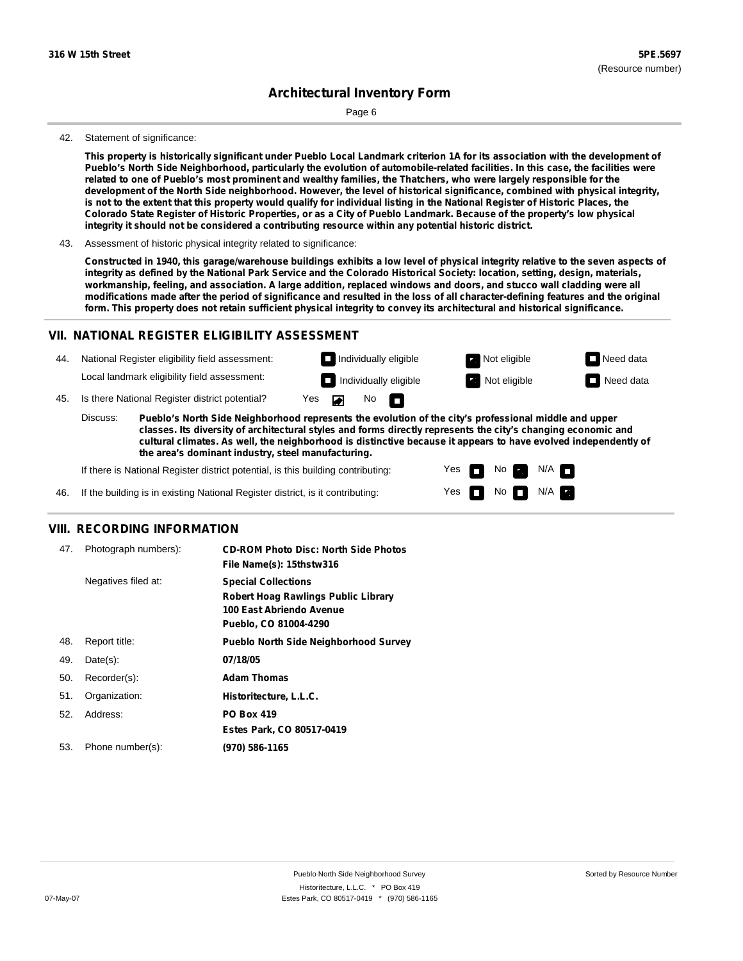Page 6

#### 42. Statement of significance:

This property is historically significant under Pueblo Local Landmark criterion 1A for its association with the development of Pueblo's North Side Neighborhood, particularly the evolution of automobile-related facilities. In this case, the facilities were related to one of Pueblo's most prominent and wealthy families, the Thatchers, who were largely responsible for the development of the North Side neighborhood. However, the level of historical significance, combined with physical integrity, is not to the extent that this property would qualify for individual listing in the National Register of Historic Places, the Colorado State Register of Historic Properties, or as a City of Pueblo Landmark. Because of the property's low physical **integrity it should not be considered a contributing resource within any potential historic district.**

43. Assessment of historic physical integrity related to significance:

Constructed in 1940, this garage/warehouse buildings exhibits a low level of physical integrity relative to the seven aspects of integrity as defined by the National Park Service and the Colorado Historical Society: location, setting, design, materials, workmanship, feeling, and association. A large addition, replaced windows and doors, and stucco wall cladding were all modifications made after the period of significance and resulted in the loss of all character-defining features and the original form. This property does not retain sufficient physical integrity to convey its architectural and historical significance.

### **VII. NATIONAL REGISTER ELIGIBILITY ASSESSMENT**

44. National Register eligibility field assessment: Local landmark eligibility field assessment:

**Individually eligible Not eligible** Not eligible **Need data Individually eligible Not eligible Not eligible Need data** 

No<sub>D</sub>

 $No$  N/A

N/A IT

No

45. Is there National Register district potential? Yes

**Pueblo's North Side Neighborhood represents the evolution of the city's professional middle and upper classes. Its diversity of architectural styles and forms directly represents the city's changing economic and cultural climates. As well, the neighborhood is distinctive because it appears to have evolved independently of the area's dominant industry, steel manufacturing.** Discuss:

 $\blacksquare$ 

Yes Yes

If there is National Register district potential, is this building contributing:



### **VIII. RECORDING INFORMATION**

| 47. | Photograph numbers): | <b>CD-ROM Photo Disc: North Side Photos</b><br>File Name(s): 15thstw316                                                       |
|-----|----------------------|-------------------------------------------------------------------------------------------------------------------------------|
|     | Negatives filed at:  | <b>Special Collections</b><br><b>Robert Hoag Rawlings Public Library</b><br>100 East Abriendo Avenue<br>Pueblo, CO 81004-4290 |
| 48. | Report title:        | <b>Pueblo North Side Neighborhood Survey</b>                                                                                  |
| 49. | $Date(s)$ :          | 07/18/05                                                                                                                      |
| 50. | Recorder(s):         | <b>Adam Thomas</b>                                                                                                            |
| 51. | Organization:        | Historitecture, L.L.C.                                                                                                        |
| 52. | Address:             | <b>PO Box 419</b>                                                                                                             |
|     |                      | Estes Park, CO 80517-0419                                                                                                     |
| 53. | Phone number(s):     | (970) 586-1165                                                                                                                |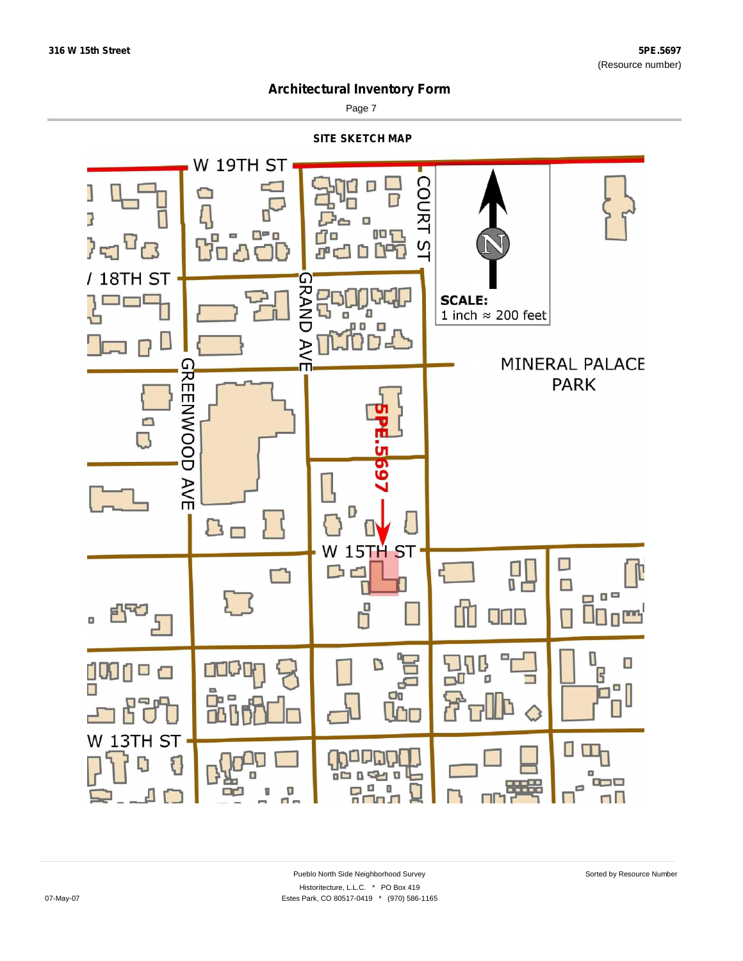

Page 7